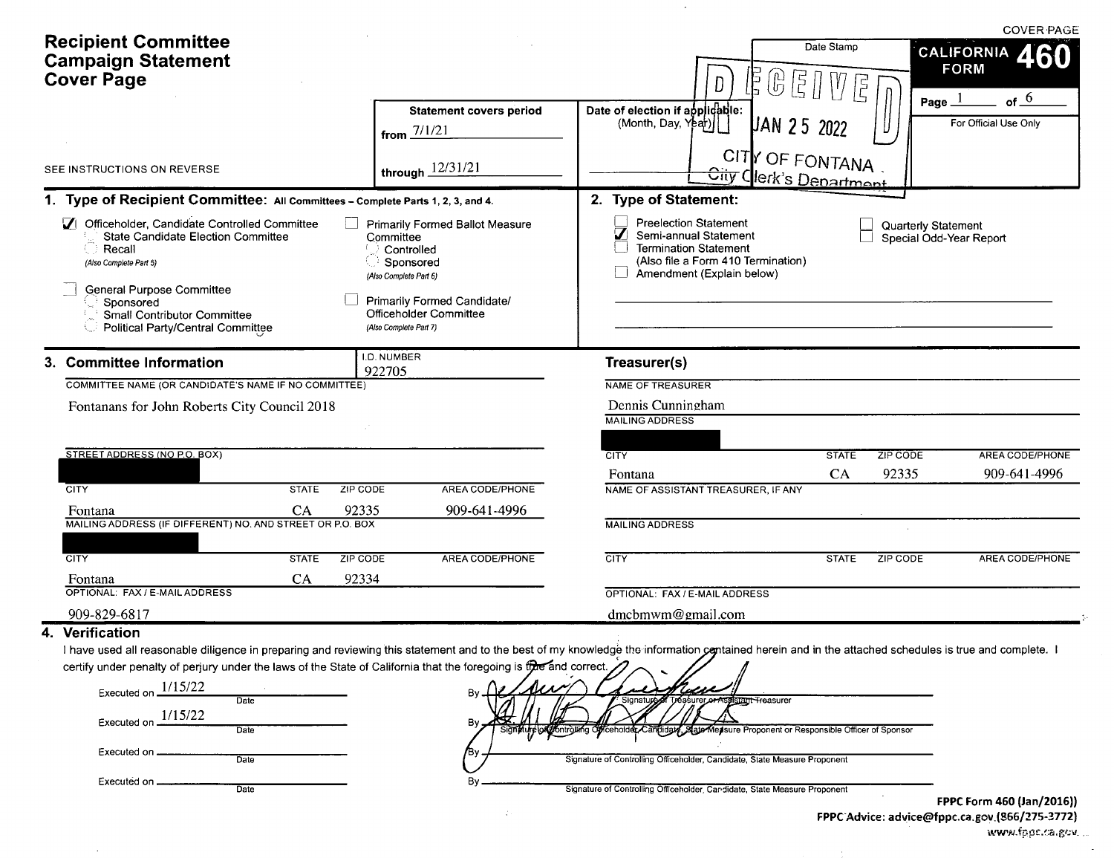| <b>Recipient Committee</b><br><b>Campaign Statement</b><br><b>Cover Page</b>                                                                                                                                                                                |              |                                                               |                                                                                                                                   | Date Stamp<br>CALIFORNIA 460<br><b>FORM</b><br>$\left(\begin{smallmatrix} 1\\ 1\\ 0\end{smallmatrix}\right)$<br>Ē<br>D<br>É                                                                                | <b>COVER PAGE</b> |
|-------------------------------------------------------------------------------------------------------------------------------------------------------------------------------------------------------------------------------------------------------------|--------------|---------------------------------------------------------------|-----------------------------------------------------------------------------------------------------------------------------------|------------------------------------------------------------------------------------------------------------------------------------------------------------------------------------------------------------|-------------------|
|                                                                                                                                                                                                                                                             |              |                                                               | <b>Statement covers period</b><br>from $7/1/21$                                                                                   | Page _<br>Date of election if applicable:<br>(Month, Day, Y <sub>par</sub> )<br>For Official Use Only<br><b>LAN 25 2022</b>                                                                                | of $-6$           |
| SEE INSTRUCTIONS ON REVERSE                                                                                                                                                                                                                                 |              |                                                               | through $12/31/21$                                                                                                                | CITY OF FONTANA<br>City Clerk's Department                                                                                                                                                                 |                   |
| 1. Type of Recipient Committee: All Committees - Complete Parts 1, 2, 3, and 4.                                                                                                                                                                             |              |                                                               |                                                                                                                                   | 2. Type of Statement:                                                                                                                                                                                      |                   |
| 1 Officeholder, Candidate Controlled Committee<br><b>State Candidate Election Committee</b><br>Recall<br>(Also Complete Part 5)<br><b>General Purpose Committee</b><br>Sponsored<br>Small Contributor Committee<br><b>Political Party/Central Committee</b> |              | Committee<br>(Also Complete Part 6)<br>(Also Complete Part 7) | <b>Primarily Formed Ballot Measure</b><br>Controlled<br>Sponsored<br><b>Primarily Formed Candidate/</b><br>Officeholder Committee | <b>Preelection Statement</b><br>Quarterly Statement<br>Semi-annual Statement<br>Special Odd-Year Report<br><b>Termination Statement</b><br>(Also file a Form 410 Termination)<br>Amendment (Explain below) |                   |
| 3. Committee Information                                                                                                                                                                                                                                    |              | I.D. NUMBER<br>922705                                         |                                                                                                                                   | Treasurer(s)                                                                                                                                                                                               |                   |
| COMMITTEE NAME (OR CANDIDATE'S NAME IF NO COMMITTEE)                                                                                                                                                                                                        |              |                                                               |                                                                                                                                   | NAME OF TREASURER                                                                                                                                                                                          |                   |
| Fontanans for John Roberts City Council 2018                                                                                                                                                                                                                |              |                                                               |                                                                                                                                   | Dennis Cunningham                                                                                                                                                                                          |                   |
|                                                                                                                                                                                                                                                             |              |                                                               |                                                                                                                                   | <b>MAILING ADDRESS</b>                                                                                                                                                                                     |                   |
| STREET ADDRESS (NO P.O. BOX)                                                                                                                                                                                                                                |              |                                                               |                                                                                                                                   | ZIP CODE<br><b>CITY</b><br><b>STATE</b>                                                                                                                                                                    | AREA CODE/PHONE   |
|                                                                                                                                                                                                                                                             |              |                                                               |                                                                                                                                   | 92335<br>CA<br>Fontana                                                                                                                                                                                     | 909-641-4996      |
| <b>CITY</b>                                                                                                                                                                                                                                                 | <b>STATE</b> | ZIP CODE                                                      | <b>AREA CODE/PHONE</b>                                                                                                            | NAME OF ASSISTANT TREASURER. IF ANY                                                                                                                                                                        |                   |
| Fontana                                                                                                                                                                                                                                                     | CA           | 92335                                                         | 909-641-4996                                                                                                                      |                                                                                                                                                                                                            |                   |
| MAILING ADDRESS (IF DIFFERENT) NO. AND STREET OR P.O. BOX                                                                                                                                                                                                   |              |                                                               |                                                                                                                                   | <b>MAILING ADDRESS</b>                                                                                                                                                                                     |                   |
| <b>CITY</b>                                                                                                                                                                                                                                                 | <b>STATE</b> | ZIP CODE                                                      | <b>AREA CODE/PHONE</b>                                                                                                            | <b>CITY</b><br>ZIP CODE<br><b>STATE</b>                                                                                                                                                                    | AREA CODE/PHONE   |
| Fontana                                                                                                                                                                                                                                                     | <b>CA</b>    | 92334                                                         |                                                                                                                                   |                                                                                                                                                                                                            |                   |
| OPTIONAL: FAX / E-MAIL ADDRESS                                                                                                                                                                                                                              |              |                                                               |                                                                                                                                   | OPTIONAL: FAX / E-MAIL ADDRESS                                                                                                                                                                             |                   |
|                                                                                                                                                                                                                                                             |              |                                                               |                                                                                                                                   | dmcbmwm@gmail.com                                                                                                                                                                                          |                   |

 $\overline{\phantom{a}}$ 

#### 4. Verificatic

 $\sim$ 

I have used all reasonable diligence in preparing and reviewing this statement and to the best of my knowledge the informatio certify under penalty of perjury under the laws of the State of California that the foregoing is tide and correct tained herein and in the attached schedules is true and complete. I

| the disposition of the state and the state of the other of ourselfs in the state of<br>1/15/22<br>Executed on. | -------<br>Bν | laise                                                                                                    |                                                                           |
|----------------------------------------------------------------------------------------------------------------|---------------|----------------------------------------------------------------------------------------------------------|---------------------------------------------------------------------------|
| Date<br>1/15/22                                                                                                |               | Signature of Tréasurer or Assistant Treasurer                                                            |                                                                           |
| Executed on<br>Date                                                                                            | Bν            | Sign Aure of Controlling Chiceholder Candidate State Measure Proponent or Responsible Officer of Sponsor |                                                                           |
| Executed on<br>Date                                                                                            | 713 V         | Signature of Controlling Officeholder, Candidate, State Measure Proponent                                |                                                                           |
| Executed on.<br>Date                                                                                           | В١            | Signature of Controlling Officeholder, Candidate, State Measure Proponent                                |                                                                           |
|                                                                                                                |               |                                                                                                          | FPPC Form 460 (Jan/2016<br>EDDC: Advice: advice@fnnc.ca.gov (866/275-3772 |

oponent<br>FPPC Form 460 (Jan/2016))<br>FPPC Advice: advice@fppc.ca.gov.(866/275-3772)<br>www.files.ca.gov.

 $\mathcal{A}^{\text{max}}_{\text{max}}$ 

n.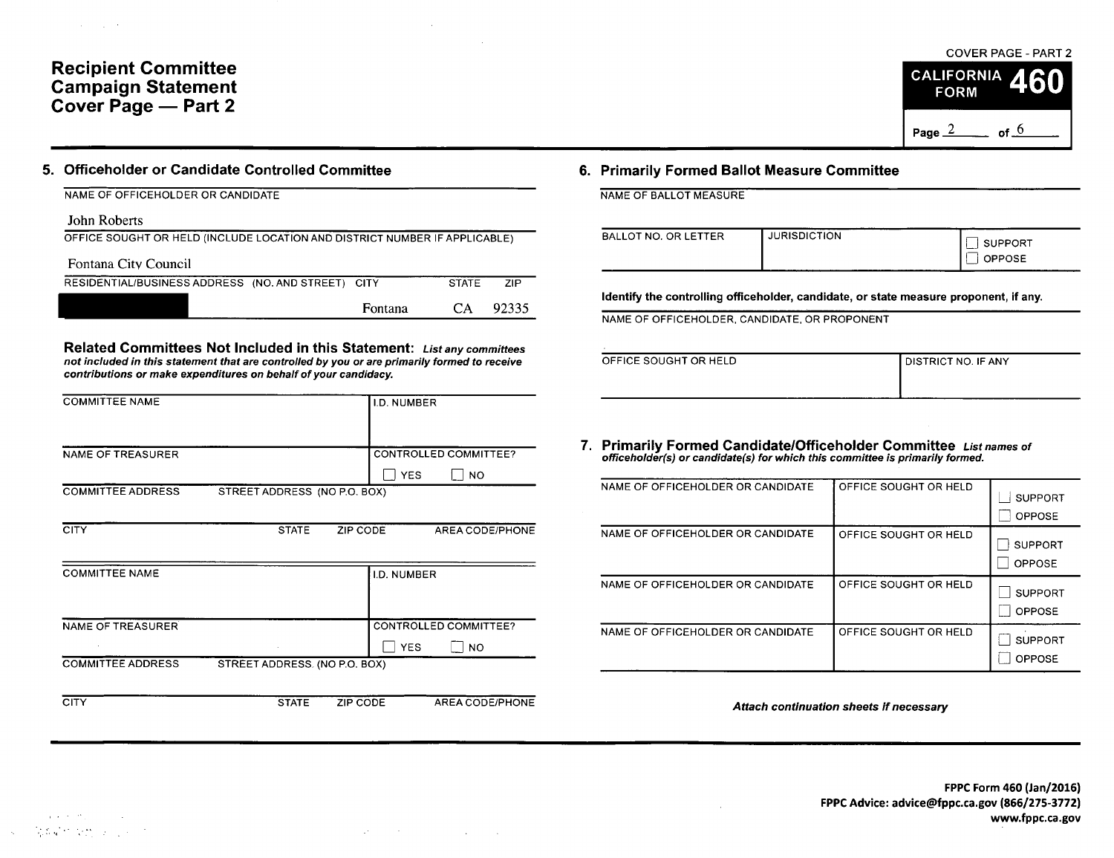## Recipient Committee Campaign Statement Cover Page — Part 2

 $\mathcal{A}(\mathcal{A})$  and  $\mathcal{A}(\mathcal{A})$ 

### 5. Officeholder or Candidate Controlled Committee 6. Primarily Formed Ballot Measure Committee

| NAME OF OFFICEHOLDER OR CANDIDATE                                          |              |       |
|----------------------------------------------------------------------------|--------------|-------|
| John Roberts                                                               |              |       |
| OFFICE SOUGHT OR HELD (INCLUDE LOCATION AND DISTRICT NUMBER IF APPLICABLE) |              |       |
| Fontana City Council                                                       |              |       |
| RESIDENTIAL/BUSINESS ADDRESS (NO. AND STREET) CITY                         | <b>STATE</b> | 7IP   |
| Fontana                                                                    | CА           | 9233. |

Related Committees Not Included in this Statement: List any committees not included in this statement that are controlled by you or are primarily formed to receive contributions or make expenditures on behalf of your candidacy.

| <b>COMMITTEE NAME</b>    |                              |          | <b>I.D. NUMBER</b> |                       |
|--------------------------|------------------------------|----------|--------------------|-----------------------|
|                          |                              |          |                    |                       |
| <b>NAME OF TREASURER</b> |                              |          |                    | CONTROLLED COMMITTEE? |
|                          |                              |          | <b>YES</b>         | $ $ NO                |
| <b>COMMITTEE ADDRESS</b> | STREET ADDRESS (NO P.O. BOX) |          |                    |                       |
|                          |                              |          |                    |                       |
| <b>CITY</b>              | <b>STATE</b>                 | ZIP CODE |                    | AREA CODE/PHONE       |
|                          |                              |          |                    |                       |
| <b>COMMITTEE NAME</b>    |                              |          | <b>I.D. NUMBER</b> |                       |
|                          |                              |          |                    |                       |
|                          |                              |          |                    |                       |
| <b>NAME OF TREASURER</b> |                              |          |                    | CONTROLLED COMMITTEE? |
|                          |                              |          | <b>YES</b>         | <b>NO</b>             |

COMMITTEE ADDRESS STREET ADDRESS. (NO P.O. BOX)

CITY STATE ZIP CODE AREA CODE/PHONE

COVER PAGE - PART 2 **CALIFORNIA FORM** Page  $\frac{2}{ }$  of  $\frac{6}{ }$ 

| BALLOT NO. OR LETTER | <b>JURISDICTION</b> | <b>SUPPORT</b><br>OPPOSE |
|----------------------|---------------------|--------------------------|
|                      |                     |                          |

Identify the controlling officeholder, candidate, or state measure proponent, if any.

NAME OF OFFICEHOLDER, CANDIDATE, OR PROPONENT

| OFFICE SOUGHT OR HELD | I DISTRICT NO. IF ANY |
|-----------------------|-----------------------|
|                       |                       |
|                       |                       |

7. Primarily Formed Candidate/ Officeholder Committee List names of officeholder(s) or candidate( s) for which this committee is primarily formed.

| NAME OF OFFICEHOLDER OR CANDIDATE | OFFICE SOUGHT OR HELD | <b>SUPPORT</b><br><b>OPPOSE</b> |
|-----------------------------------|-----------------------|---------------------------------|
| NAME OF OFFICEHOLDER OR CANDIDATE | OFFICE SOUGHT OR HELD | <b>SUPPORT</b><br><b>OPPOSE</b> |
| NAME OF OFFICEHOLDER OR CANDIDATE | OFFICE SOUGHT OR HELD | <b>SUPPORT</b><br>OPPOSE        |
| NAME OF OFFICEHOLDER OR CANDIDATE | OFFICE SOUGHT OR HELD | <b>SUPPORT</b><br>OPPOSE        |

Attach continuation sheets if necessary

 $\label{eq:2.1} \frac{1}{2}\sum_{i=1}^n\frac{1}{2}\sum_{i=1}^n\frac{1}{2}\sum_{i=1}^n\frac{1}{2}\sum_{i=1}^n\frac{1}{2}\sum_{i=1}^n\frac{1}{2}\sum_{i=1}^n\frac{1}{2}\sum_{i=1}^n\frac{1}{2}\sum_{i=1}^n\frac{1}{2}\sum_{i=1}^n\frac{1}{2}\sum_{i=1}^n\frac{1}{2}\sum_{i=1}^n\frac{1}{2}\sum_{i=1}^n\frac{1}{2}\sum_{i=1}^n\frac{1}{2}\sum_{i=1}^n\$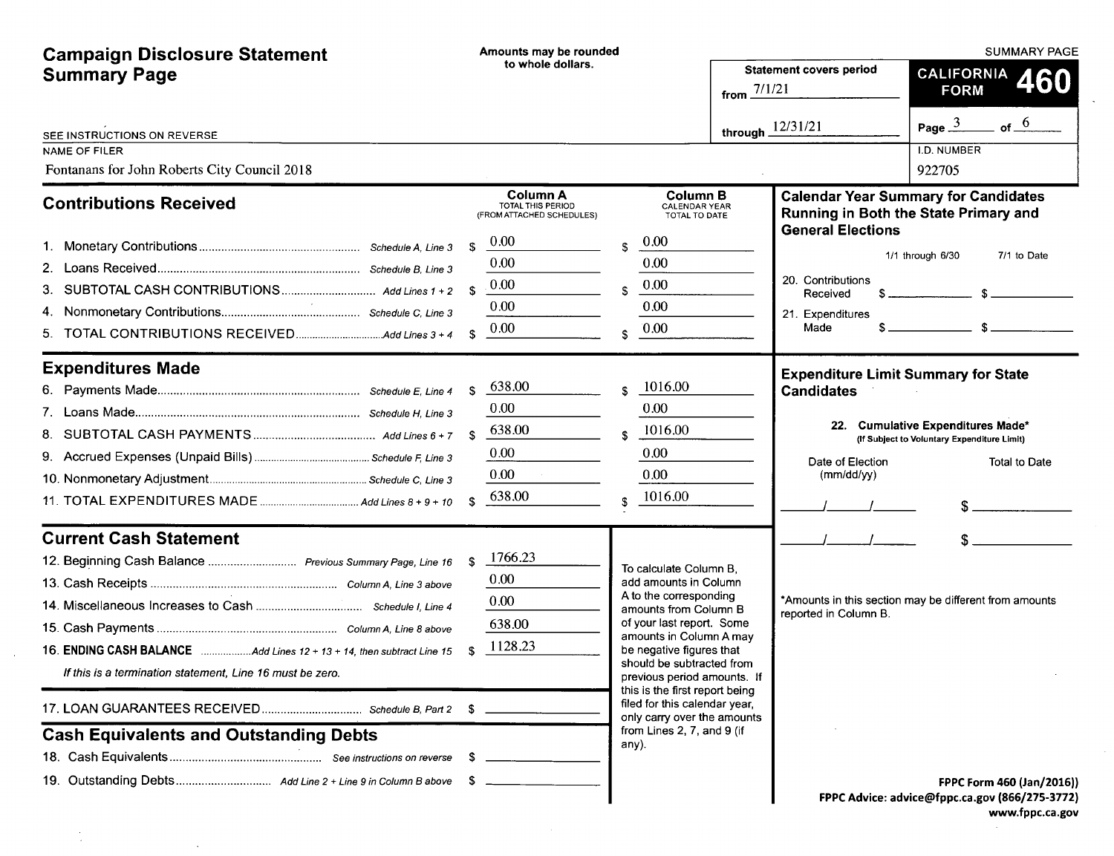| <b>Campaign Disclosure Statement</b>                                 |              | Amounts may be rounded                         |              |                                                                                                |                       |                                            | <b>SUMMARY PAGE</b>                                                                  |
|----------------------------------------------------------------------|--------------|------------------------------------------------|--------------|------------------------------------------------------------------------------------------------|-----------------------|--------------------------------------------|--------------------------------------------------------------------------------------|
| <b>Summary Page</b>                                                  |              | to whole dollars.                              |              |                                                                                                | from $\frac{7/1}{21}$ | <b>Statement covers period</b>             | CALIFORNIA 460<br><b>FORM</b>                                                        |
| SEE INSTRUCTIONS ON REVERSE                                          |              |                                                |              |                                                                                                | through $12/31/21$    |                                            | Page $\frac{3}{2}$<br>of $-$ <sup>6</sup>                                            |
| <b>NAME OF FILER</b><br>Fontanans for John Roberts City Council 2018 |              |                                                |              |                                                                                                |                       |                                            | <b>I.D. NUMBER</b><br>922705                                                         |
|                                                                      |              | <b>Column A</b>                                |              | <b>Column B</b>                                                                                |                       |                                            |                                                                                      |
| <b>Contributions Received</b>                                        |              | TOTAL THIS PERIOD<br>(FROM ATTACHED SCHEDULES) |              | <b>CALENDAR YEAR</b><br>TOTAL TO DATE                                                          |                       | <b>General Elections</b>                   | <b>Calendar Year Summary for Candidates</b><br>Running in Both the State Primary and |
|                                                                      | \$           | 0.00                                           | Ŝ.           | 0.00                                                                                           |                       |                                            |                                                                                      |
|                                                                      |              | 0.00                                           |              | 0.00                                                                                           |                       |                                            | 1/1 through 6/30<br>7/1 to Date                                                      |
|                                                                      |              | 0.00                                           | S.           | 0.00                                                                                           |                       | 20. Contributions<br>Received              |                                                                                      |
|                                                                      |              | 0.00                                           |              | 0.00                                                                                           |                       | 21. Expenditures                           |                                                                                      |
| 5.                                                                   | $\mathbf{S}$ | 0.00                                           | Ś            | 0.00                                                                                           |                       | \$<br>Made                                 |                                                                                      |
| <b>Expenditures Made</b>                                             |              |                                                |              |                                                                                                |                       | <b>Expenditure Limit Summary for State</b> |                                                                                      |
|                                                                      | -\$          | 638.00                                         | Ŝ.           | 1016.00                                                                                        |                       | <b>Candidates</b>                          |                                                                                      |
|                                                                      |              | 0.00                                           |              | 0.00                                                                                           |                       |                                            |                                                                                      |
|                                                                      | -S           | 638.00                                         | $\mathbf{s}$ | 1016.00                                                                                        |                       |                                            | 22. Cumulative Expenditures Made*<br>(If Subject to Voluntary Expenditure Limit)     |
|                                                                      |              | 0.00                                           |              | 0.00                                                                                           |                       | Date of Election                           | Total to Date                                                                        |
|                                                                      |              | 0.00                                           |              | 0.00                                                                                           |                       | (mm/dd/yy)                                 |                                                                                      |
|                                                                      | $\mathbf{s}$ | 638.00                                         | \$.          | 1016.00                                                                                        |                       |                                            |                                                                                      |
| <b>Current Cash Statement</b>                                        |              |                                                |              |                                                                                                |                       |                                            |                                                                                      |
| 12. Beginning Cash Balance  Previous Summary Page, Line 16           | - \$         | 1766.23                                        |              | To calculate Column B.                                                                         |                       |                                            |                                                                                      |
|                                                                      |              | 0.00                                           |              | add amounts in Column                                                                          |                       |                                            |                                                                                      |
|                                                                      |              | 0.00                                           |              | A to the corresponding<br>amounts from Column B                                                |                       | reported in Column B.                      | *Amounts in this section may be different from amounts                               |
|                                                                      |              | 638.00                                         |              | of your last report. Some                                                                      |                       |                                            |                                                                                      |
|                                                                      |              | 1128.23                                        |              | amounts in Column A may<br>be negative figures that                                            |                       |                                            |                                                                                      |
| If this is a termination statement, Line 16 must be zero.            |              |                                                |              | should be subtracted from<br>previous period amounts. If                                       |                       |                                            |                                                                                      |
|                                                                      | - \$         |                                                |              | this is the first report being<br>filed for this calendar year,<br>only carry over the amounts |                       |                                            |                                                                                      |
| <b>Cash Equivalents and Outstanding Debts</b>                        |              |                                                |              | from Lines 2, 7, and 9 (if<br>any).                                                            |                       |                                            |                                                                                      |
|                                                                      |              |                                                |              |                                                                                                |                       |                                            |                                                                                      |
|                                                                      | -SS          |                                                |              |                                                                                                |                       |                                            | FPPC Form 460 (Jan/2016))                                                            |
|                                                                      |              |                                                |              |                                                                                                |                       |                                            | FPPC Advice: advice@fppc.ca.gov (866/275-3772)                                       |

 $\sim 10^7$ 

 $\sim$ 

 $\frac{1}{2}$ 

 $\sim 10^{-1}$ 

www.fppc.ca.gov

 $\sim$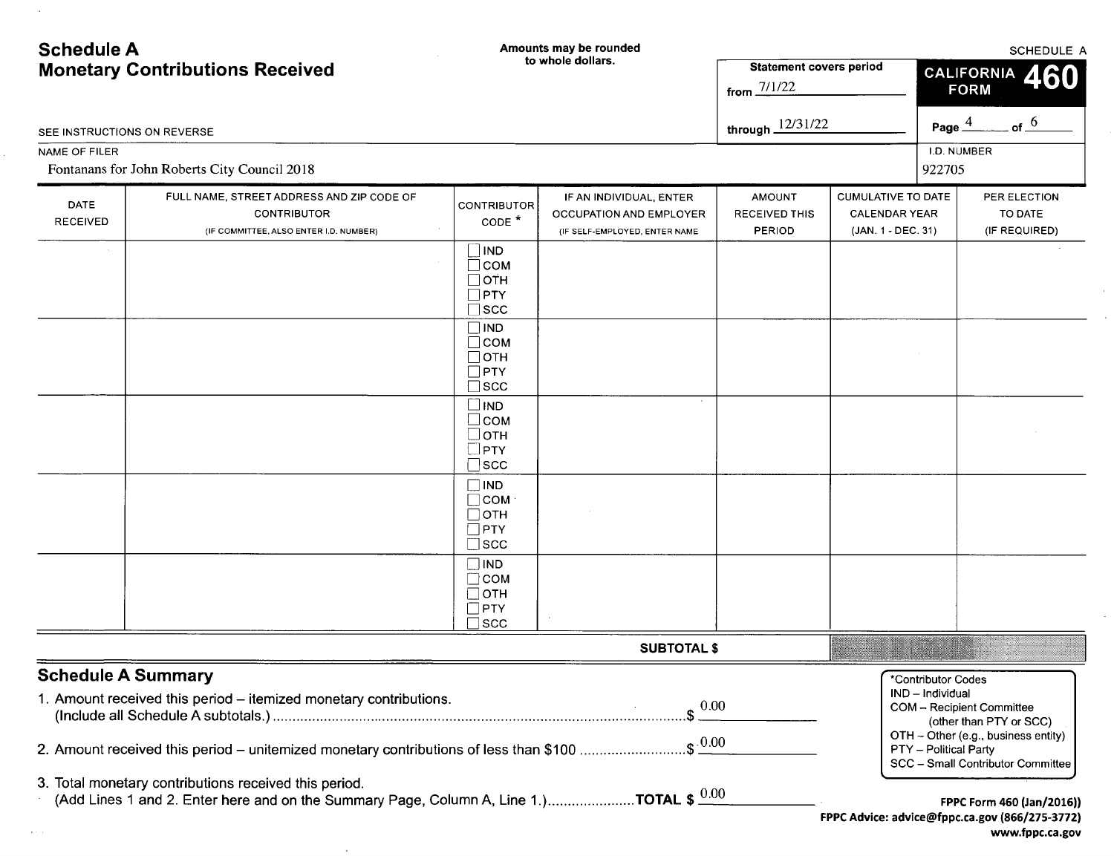| <b>Schedule A</b>                      |                                                                                                                                                                                |                                                                            | Amounts may be rounded                                                              |                                                           | <b>SCHEDULE A</b>                                                     |                                                                 |                                                                                                                                  |  |
|----------------------------------------|--------------------------------------------------------------------------------------------------------------------------------------------------------------------------------|----------------------------------------------------------------------------|-------------------------------------------------------------------------------------|-----------------------------------------------------------|-----------------------------------------------------------------------|-----------------------------------------------------------------|----------------------------------------------------------------------------------------------------------------------------------|--|
| <b>Monetary Contributions Received</b> |                                                                                                                                                                                |                                                                            | to whole dollars.                                                                   | <b>Statement covers period</b><br>from $\frac{7/1/22}{2}$ |                                                                       | CALIFORNIA<br><b>FORM</b>                                       |                                                                                                                                  |  |
| SEE INSTRUCTIONS ON REVERSE            |                                                                                                                                                                                |                                                                            |                                                                                     | through $12/31/22$                                        |                                                                       | Page $\stackrel{4}{-}$                                          | of $6$                                                                                                                           |  |
| <b>NAME OF FILER</b>                   |                                                                                                                                                                                |                                                                            |                                                                                     |                                                           |                                                                       | I.D. NUMBER                                                     |                                                                                                                                  |  |
|                                        | Fontanans for John Roberts City Council 2018                                                                                                                                   |                                                                            |                                                                                     |                                                           |                                                                       | 922705                                                          |                                                                                                                                  |  |
| <b>DATE</b><br><b>RECEIVED</b>         | FULL NAME, STREET ADDRESS AND ZIP CODE OF<br><b>CONTRIBUTOR</b><br>(IF COMMITTEE, ALSO ENTER I.D. NUMBER)                                                                      | <b>CONTRIBUTOR</b><br>CODE <sup>*</sup>                                    | IF AN INDIVIDUAL, ENTER<br>OCCUPATION AND EMPLOYER<br>(IF SELF-EMPLOYED, ENTER NAME | <b>AMOUNT</b><br><b>RECEIVED THIS</b><br>PERIOD           | <b>CUMULATIVE TO DATE</b><br><b>CALENDAR YEAR</b><br>(JAN 1 - DEC 31) |                                                                 | PER ELECTION<br>TO DATE<br>(IF REQUIRED)                                                                                         |  |
|                                        |                                                                                                                                                                                | $\exists$ IND<br>$\Box$ сом<br>□отн<br>$\Box$ PTY<br>$\sqsupset$ scc       |                                                                                     |                                                           |                                                                       |                                                                 |                                                                                                                                  |  |
|                                        |                                                                                                                                                                                | $\square$ IND<br>$\Box$ COM<br>$\Box$ отн<br>$\Box$ PTY<br>$\sqsupset$ scc |                                                                                     |                                                           |                                                                       |                                                                 |                                                                                                                                  |  |
|                                        |                                                                                                                                                                                | $\square$ IND<br>$\Box$ сом<br>$\Box$ отн<br>$\Box$ PTY<br>$\square$ scc   |                                                                                     |                                                           |                                                                       |                                                                 |                                                                                                                                  |  |
|                                        |                                                                                                                                                                                | $\Box$ IND<br>$\Box$ COM<br>$\Box$ отн<br>$\Box$ PTY<br>$\square$ scc      |                                                                                     |                                                           |                                                                       |                                                                 |                                                                                                                                  |  |
|                                        |                                                                                                                                                                                | $\Box$ IND<br>⊡сом<br><b>OTH</b><br><b>PTY</b><br><b>SCC</b>               |                                                                                     |                                                           |                                                                       |                                                                 |                                                                                                                                  |  |
|                                        |                                                                                                                                                                                |                                                                            | <b>SUBTOTAL \$</b>                                                                  |                                                           |                                                                       |                                                                 |                                                                                                                                  |  |
| <b>Schedule A Summary</b>              | 1. Amount received this period - itemized monetary contributions.<br>2. Amount received this period – unitemized monetary contributions of less than \$100 \$ $\frac{0.00}{2}$ |                                                                            | $\int$ 0.00                                                                         |                                                           |                                                                       | *Contributor Codes<br>IND - Individual<br>PTY - Political Party | COM - Recipient Committee<br>(other than PTY or SCC)<br>OTH - Other (e.g., business entity)<br>SCC - Small Contributor Committee |  |
|                                        | 3. Total monetary contributions received this period.<br>(Add Lines 1 and 2. Enter here and on the Summary Page, Column A, Line 1.)TOTAL \$ $\frac{0.00}{0.00}$                |                                                                            |                                                                                     |                                                           |                                                                       |                                                                 | FPPC Form 460 (Jan/2016))<br>FPPC Advice: advice@fppc.ca.gov (866/275-3772)<br>www.fppc.ca.gov                                   |  |

 $\sim$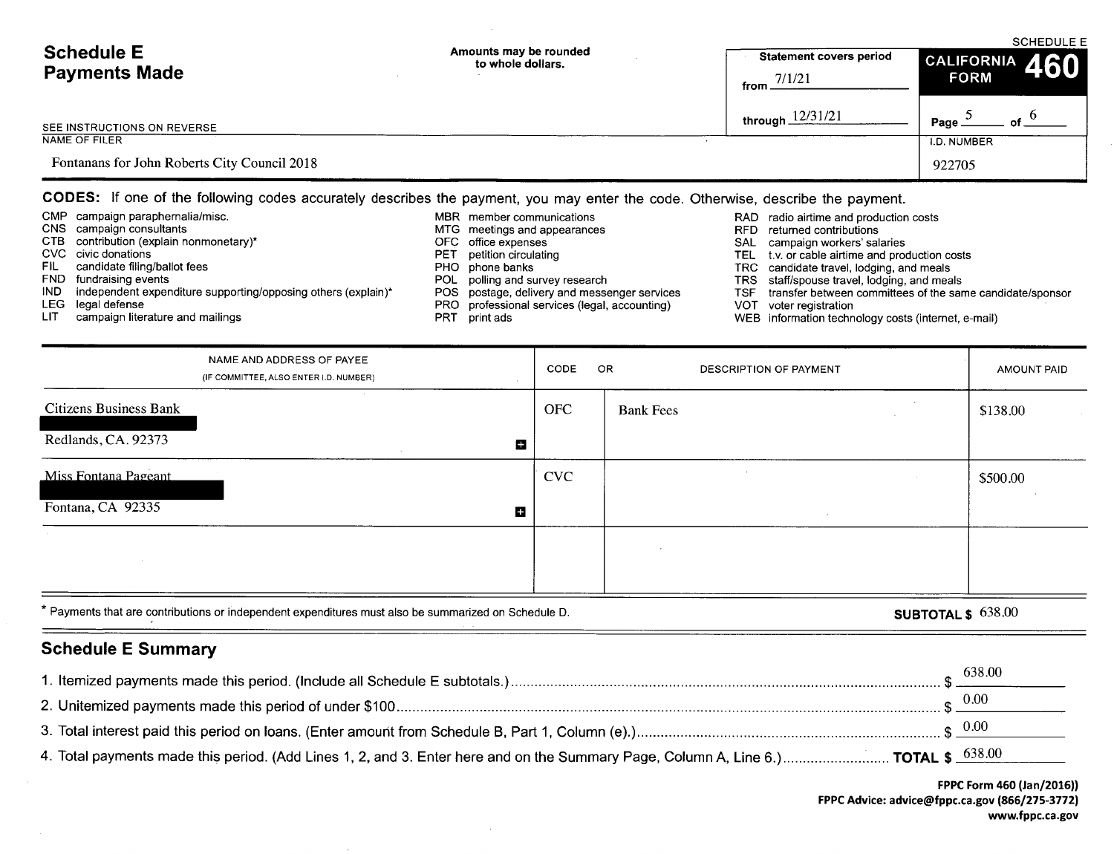|                                                                                                                                 |                                                                                                  | <b>SCHEDULE E</b>                                                                               |                                                           |  |  |
|---------------------------------------------------------------------------------------------------------------------------------|--------------------------------------------------------------------------------------------------|-------------------------------------------------------------------------------------------------|-----------------------------------------------------------|--|--|
| <b>Schedule E</b>                                                                                                               | Amounts may be rounded<br>to whole dollars.                                                      | <b>Statement covers period</b>                                                                  | CALIFORNIA 460                                            |  |  |
| <b>Payments Made</b>                                                                                                            |                                                                                                  | 7/1/21<br>from                                                                                  | <b>FORM</b>                                               |  |  |
|                                                                                                                                 |                                                                                                  | through $12/31/21$                                                                              |                                                           |  |  |
| SEE INSTRUCTIONS ON REVERSE                                                                                                     |                                                                                                  |                                                                                                 | Page                                                      |  |  |
| <b>NAME OF FILER</b>                                                                                                            |                                                                                                  |                                                                                                 | <b>I.D. NUMBER</b>                                        |  |  |
| Fontanans for John Roberts City Council 2018                                                                                    |                                                                                                  |                                                                                                 | 922705                                                    |  |  |
| CODES: If one of the following codes accurately describes the payment, you may enter the code. Otherwise, describe the payment. |                                                                                                  |                                                                                                 |                                                           |  |  |
| campaign paraphernalia/misc.<br>CMP.                                                                                            | MBR member communications                                                                        | RAD radio airtime and production costs                                                          |                                                           |  |  |
| <b>CNS</b><br>campaign consultants<br>CTB.<br>contribution (explain nonmonetary)*                                               | MTG<br>meetings and appearances<br>OFC.                                                          | returned contributions<br>RFD.                                                                  |                                                           |  |  |
| CVC<br>civic donations                                                                                                          | office expenses<br>petition circulating<br>PET                                                   | <b>SAL</b><br>campaign workers' salaries<br>t.v. or cable airtime and production costs<br>TEL 1 |                                                           |  |  |
| FIL.<br>candidate filing/ballot fees                                                                                            | PHO.<br>phone banks                                                                              | candidate travel, lodging, and meals<br>TRC.                                                    |                                                           |  |  |
| FND<br>fundraising events                                                                                                       | polling and survey research<br>POL.                                                              | staff/spouse travel, lodging, and meals<br>TRS.                                                 |                                                           |  |  |
| IND.<br>independent expenditure supporting/opposing others (explain)*<br>LEG.<br>legal defense                                  | POS<br>postage, delivery and messenger services<br>PRO professional services (legal, accounting) | <b>TSF</b><br>VOT<br>voter registration                                                         | transfer between committees of the same candidate/sponsor |  |  |
| campaign literature and mailings<br>LIT                                                                                         | PRT<br>print ads                                                                                 | information technology costs (internet, e-mail)<br>WEB                                          |                                                           |  |  |

|                               | NAME AND ADDRESS OF PAYEE<br>(IF COMMITTEE, ALSO ENTER I.D. NUMBER) | CODE       | OR.<br><b>DESCRIPTION OF PAYMENT</b> | <b>AMOUNT PAID</b> |
|-------------------------------|---------------------------------------------------------------------|------------|--------------------------------------|--------------------|
| <b>Citizens Business Bank</b> |                                                                     | <b>OFC</b> | <b>Bank Fees</b>                     | \$138.00           |
| Redlands, CA. 92373           | $\blacksquare$                                                      |            |                                      |                    |
| <b>Miss Fontana Pageant</b>   |                                                                     | <b>CVC</b> | $\epsilon$                           | \$500.00           |
| Fontana, CA 92335             | Ш                                                                   |            |                                      |                    |
|                               |                                                                     |            |                                      |                    |
|                               |                                                                     |            |                                      |                    |

\* Payments that are contributions or independent expenditures must also be summarized on Schedule D.<br> **SUBTOTAL \$** 638.00

# Schedule E Summary

 $\qquad \qquad$ 

|                                                                                                                                     | 638.00           |
|-------------------------------------------------------------------------------------------------------------------------------------|------------------|
|                                                                                                                                     | -0.00            |
|                                                                                                                                     | $_{\oplus}$ 0.00 |
| 4. Total payments made this period. (Add Lines 1, 2, and 3. Enter here and on the Summary Page, Column A, Line 6.)  TOTAL \$ 638.00 |                  |